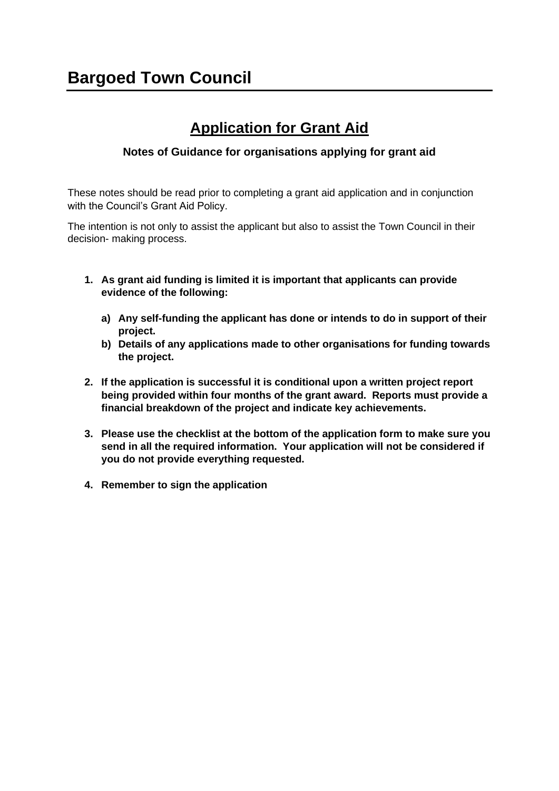# **Application for Grant Aid**

#### **Notes of Guidance for organisations applying for grant aid**

These notes should be read prior to completing a grant aid application and in conjunction with the Council's Grant Aid Policy.

The intention is not only to assist the applicant but also to assist the Town Council in their decision- making process.

- **1. As grant aid funding is limited it is important that applicants can provide evidence of the following:**
	- **a) Any self-funding the applicant has done or intends to do in support of their project.**
	- **b) Details of any applications made to other organisations for funding towards the project.**
- **2. If the application is successful it is conditional upon a written project report being provided within four months of the grant award. Reports must provide a financial breakdown of the project and indicate key achievements.**
- **3. Please use the checklist at the bottom of the application form to make sure you send in all the required information. Your application will not be considered if you do not provide everything requested.**
- **4. Remember to sign the application**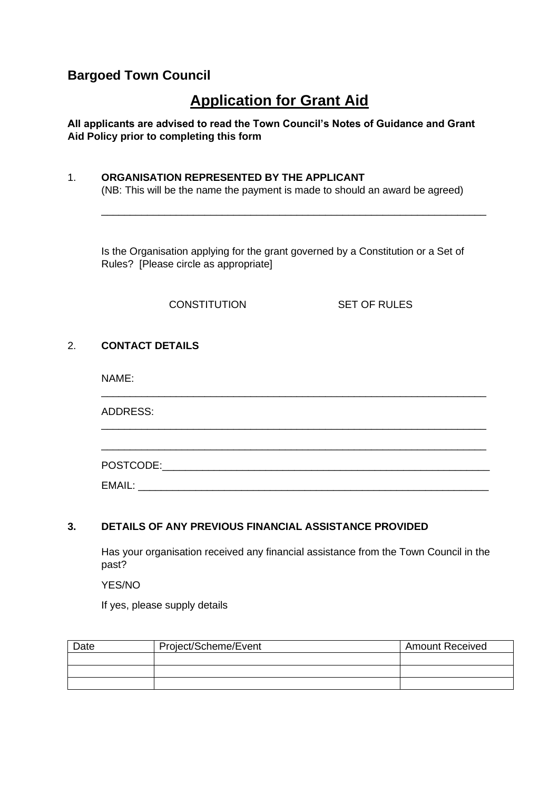### **Bargoed Town Council**

## **Application for Grant Aid**

#### **All applicants are advised to read the Town Council's Notes of Guidance and Grant Aid Policy prior to completing this form**

### 1. **ORGANISATION REPRESENTED BY THE APPLICANT**

(NB: This will be the name the payment is made to should an award be agreed)

\_\_\_\_\_\_\_\_\_\_\_\_\_\_\_\_\_\_\_\_\_\_\_\_\_\_\_\_\_\_\_\_\_\_\_\_\_\_\_\_\_\_\_\_\_\_\_\_\_\_\_\_\_\_\_\_\_\_\_\_\_\_\_\_\_\_\_

Is the Organisation applying for the grant governed by a Constitution or a Set of Rules? [Please circle as appropriate]

CONSTITUTION SET OF RULES

#### 2. **CONTACT DETAILS**

NAME:

ADDRESS:

POSTCODE:\_\_\_\_\_\_\_\_\_\_\_\_\_\_\_\_\_\_\_\_\_\_\_\_\_\_\_\_\_\_\_\_\_\_\_\_\_\_\_\_\_\_\_\_\_\_\_\_\_\_\_\_\_\_\_\_\_ EMAIL: \_\_\_\_\_\_\_\_\_\_\_\_\_\_\_\_\_\_\_\_\_\_\_\_\_\_\_\_\_\_\_\_\_\_\_\_\_\_\_\_\_\_\_\_\_\_\_\_\_\_\_\_\_\_\_\_\_\_\_\_\_

\_\_\_\_\_\_\_\_\_\_\_\_\_\_\_\_\_\_\_\_\_\_\_\_\_\_\_\_\_\_\_\_\_\_\_\_\_\_\_\_\_\_\_\_\_\_\_\_\_\_\_\_\_\_\_\_\_\_\_\_\_\_\_\_\_\_\_

\_\_\_\_\_\_\_\_\_\_\_\_\_\_\_\_\_\_\_\_\_\_\_\_\_\_\_\_\_\_\_\_\_\_\_\_\_\_\_\_\_\_\_\_\_\_\_\_\_\_\_\_\_\_\_\_\_\_\_\_\_\_\_\_\_\_\_

\_\_\_\_\_\_\_\_\_\_\_\_\_\_\_\_\_\_\_\_\_\_\_\_\_\_\_\_\_\_\_\_\_\_\_\_\_\_\_\_\_\_\_\_\_\_\_\_\_\_\_\_\_\_\_\_\_\_\_\_\_\_\_\_\_\_\_

#### **3. DETAILS OF ANY PREVIOUS FINANCIAL ASSISTANCE PROVIDED**

Has your organisation received any financial assistance from the Town Council in the past?

YES/NO

If yes, please supply details

| Date | Project/Scheme/Event | <b>Amount Received</b> |
|------|----------------------|------------------------|
|      |                      |                        |
|      |                      |                        |
|      |                      |                        |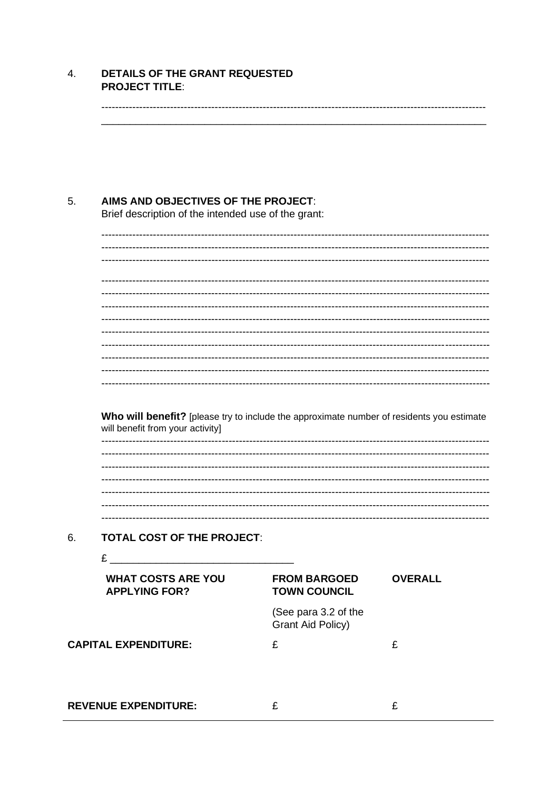| AIMS AND OBJECTIVES OF THE PROJECT:<br>Brief description of the intended use of the grant:                                                                        |                                                  |                |
|-------------------------------------------------------------------------------------------------------------------------------------------------------------------|--------------------------------------------------|----------------|
|                                                                                                                                                                   |                                                  |                |
|                                                                                                                                                                   |                                                  |                |
|                                                                                                                                                                   |                                                  |                |
|                                                                                                                                                                   |                                                  |                |
|                                                                                                                                                                   |                                                  |                |
|                                                                                                                                                                   |                                                  |                |
|                                                                                                                                                                   |                                                  |                |
|                                                                                                                                                                   |                                                  |                |
|                                                                                                                                                                   |                                                  |                |
|                                                                                                                                                                   |                                                  |                |
|                                                                                                                                                                   |                                                  |                |
|                                                                                                                                                                   |                                                  |                |
| Who will benefit? [please try to include the approximate number of residents you estimate<br>will benefit from your activity]<br>-------------------------------- |                                                  |                |
|                                                                                                                                                                   |                                                  |                |
| <b>WHAT COSTS ARE YOU</b><br><b>APPLYING FOR?</b>                                                                                                                 | <b>FROM BARGOED</b><br><b>TOWN COUNCIL</b>       | <b>OVERALL</b> |
|                                                                                                                                                                   | (See para 3.2 of the<br><b>Grant Aid Policy)</b> |                |
| <b>TOTAL COST OF THE PROJECT:</b><br><b>CAPITAL EXPENDITURE:</b>                                                                                                  | £                                                | £              |
|                                                                                                                                                                   |                                                  |                |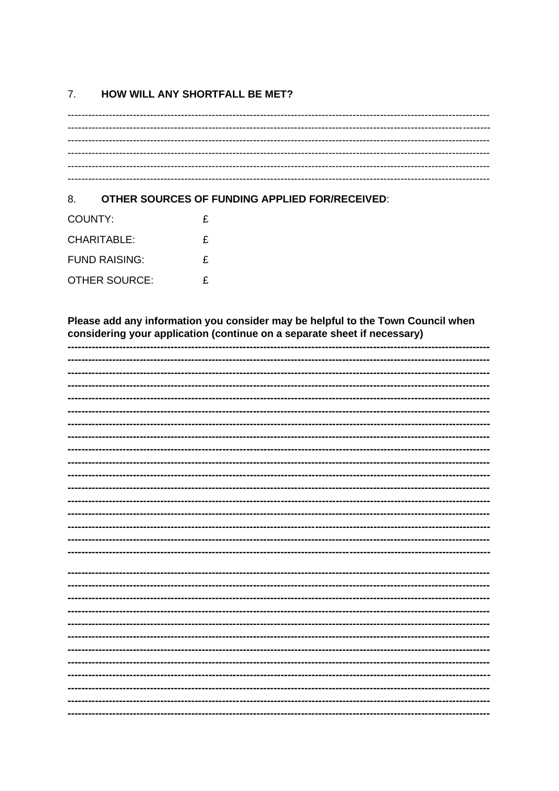#### $7.$ HOW WILL ANY SHORTFALL BE MET?

**OTHER SOURCES OF FUNDING APPLIED FOR/RECEIVED:** 8.

| COUNTY:              | £ |
|----------------------|---|
| CHARITABLE:          | £ |
| <b>FUND RAISING:</b> | £ |
| OTHER SOURCE:        | £ |

Please add any information you consider may be helpful to the Town Council when considering your application (continue on a separate sheet if necessary)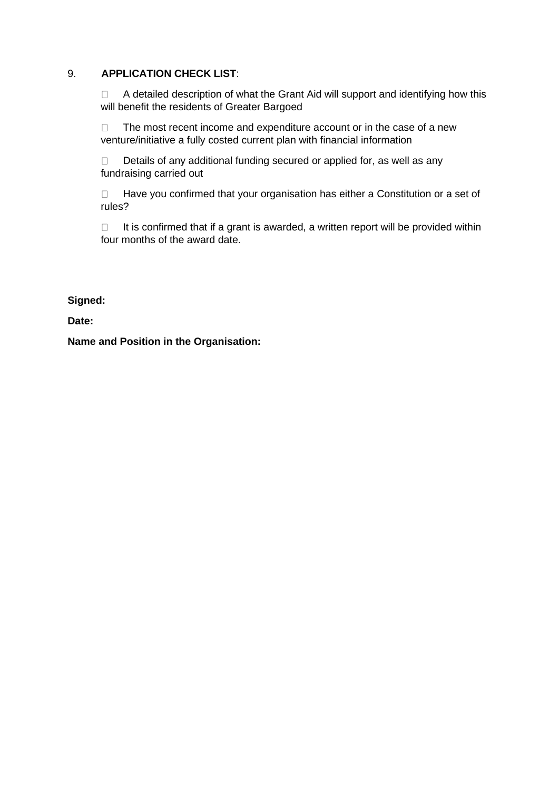#### 9. **APPLICATION CHECK LIST**:

 $\Box$  A detailed description of what the Grant Aid will support and identifying how this will benefit the residents of Greater Bargoed

 $\Box$  The most recent income and expenditure account or in the case of a new venture/initiative a fully costed current plan with financial information

 $\Box$  Details of any additional funding secured or applied for, as well as any fundraising carried out

 $\Box$  Have you confirmed that your organisation has either a Constitution or a set of rules?

 $\Box$  It is confirmed that if a grant is awarded, a written report will be provided within four months of the award date.

**Signed:**

**Date:**

**Name and Position in the Organisation:**